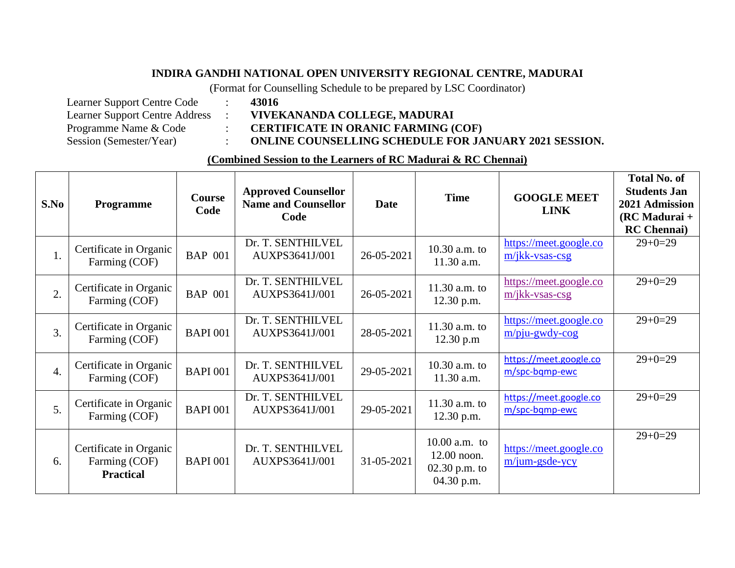## **INDIRA GANDHI NATIONAL OPEN UNIVERSITY REGIONAL CENTRE, MADURAI**

(Format for Counselling Schedule to be prepared by LSC Coordinator)

| Learner Support Centre Code           | 43016        |
|---------------------------------------|--------------|
| <b>Learner Support Centre Address</b> | <b>VIVEH</b> |
| Programme Name & Code                 | <b>CERT</b>  |
| Session (Semester/Year)               | <b>ONLIN</b> |

Learner Support Centre Address : **VIVEKANANDA COLLEGE, MADURAI**

Programme Name & Code : **CERTIFICATE IN ORANIC FARMING (COF)**

Session (Semester/Year) : **ONLINE COUNSELLING SCHEDULE FOR JANUARY 2021 SESSION.** 

## **(Combined Session to the Learners of RC Madurai & RC Chennai)**

| S.No             | Programme                                                   | <b>Course</b><br>Code | <b>Approved Counsellor</b><br><b>Name and Counsellor</b><br>Code | Date       | <b>Time</b>                                                     | <b>GOOGLE MEET</b><br><b>LINK</b>           | <b>Total No. of</b><br><b>Students Jan</b><br>2021 Admission<br>$(RCMadurai +$<br><b>RC</b> Chennai |
|------------------|-------------------------------------------------------------|-----------------------|------------------------------------------------------------------|------------|-----------------------------------------------------------------|---------------------------------------------|-----------------------------------------------------------------------------------------------------|
| 1.               | Certificate in Organic<br>Farming (COF)                     | <b>BAP 001</b>        | Dr. T. SENTHILVEL<br>AUXPS3641J/001                              | 26-05-2021 | 10.30 a.m. to<br>11.30 a.m.                                     | https://meet.google.co<br>m/jkk-vsas-csg    | $29+0=29$                                                                                           |
| 2.               | Certificate in Organic<br>Farming (COF)                     | <b>BAP 001</b>        | Dr. T. SENTHILVEL<br>AUXPS3641J/001                              | 26-05-2021 | 11.30 a.m. to<br>12.30 p.m.                                     | https://meet.google.co<br>m/jkk-vsas-csg    | $29+0=29$                                                                                           |
| $\overline{3}$ . | Certificate in Organic<br>Farming (COF)                     | <b>BAPI 001</b>       | Dr. T. SENTHILVEL<br>AUXPS3641J/001                              | 28-05-2021 | 11.30 a.m. to<br>12.30 p.m                                      | https://meet.google.co<br>$m$ /pju-gwdy-cog | $29+0=29$                                                                                           |
| 4.               | Certificate in Organic<br>Farming (COF)                     | <b>BAPI 001</b>       | Dr. T. SENTHILVEL<br>AUXPS3641J/001                              | 29-05-2021 | 10.30 a.m. to<br>11.30 a.m.                                     | https://meet.google.co<br>m/spc-bqmp-ewc    | $29+0=29$                                                                                           |
| 5 <sub>1</sub>   | Certificate in Organic<br>Farming (COF)                     | <b>BAPI 001</b>       | Dr. T. SENTHILVEL<br>AUXPS3641J/001                              | 29-05-2021 | 11.30 a.m. to<br>12.30 p.m.                                     | https://meet.google.co<br>m/spc-bqmp-ewc    | $29+0=29$                                                                                           |
| 6.               | Certificate in Organic<br>Farming (COF)<br><b>Practical</b> | <b>BAPI 001</b>       | Dr. T. SENTHILVEL<br>AUXPS3641J/001                              | 31-05-2021 | $10.00$ a.m. to<br>12.00 noon.<br>$02.30$ p.m. to<br>04.30 p.m. | https://meet.google.co<br>$m/ium-gsde-vcy$  | $29+0=29$                                                                                           |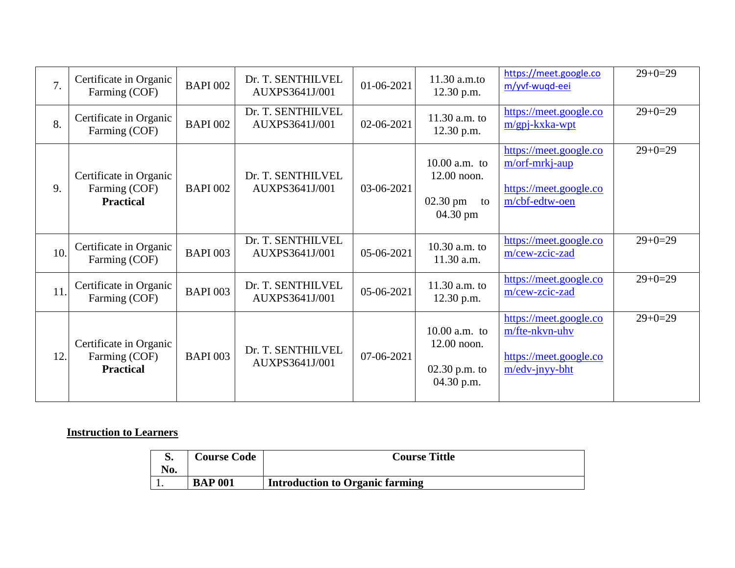| 7.  | Certificate in Organic<br>Farming (COF)                     | <b>BAPI 002</b> | Dr. T. SENTHILVEL<br>AUXPS3641J/001 | 01-06-2021 | 11.30 a.m.to<br>12.30 p.m.                                               | https://meet.google.co<br>m/yvf-wuqd-eei                                                | $29+0=29$ |
|-----|-------------------------------------------------------------|-----------------|-------------------------------------|------------|--------------------------------------------------------------------------|-----------------------------------------------------------------------------------------|-----------|
| 8.  | Certificate in Organic<br>Farming (COF)                     | <b>BAPI 002</b> | Dr. T. SENTHILVEL<br>AUXPS3641J/001 | 02-06-2021 | $11.30$ a.m. to<br>12.30 p.m.                                            | https://meet.google.co<br>$m/gpi-kxka-wpt$                                              | $29+0=29$ |
| 9.  | Certificate in Organic<br>Farming (COF)<br><b>Practical</b> | <b>BAPI 002</b> | Dr. T. SENTHILVEL<br>AUXPS3641J/001 | 03-06-2021 | $10.00$ a.m. to<br>$12.00$ noon.<br>$02.30 \text{ pm}$<br>to<br>04.30 pm | https://meet.google.co<br>m/orf-mrkj-aup<br>https://meet.google.co<br>m/cbf-edtw-oen    | $29+0=29$ |
| 10. | Certificate in Organic<br>Farming (COF)                     | <b>BAPI 003</b> | Dr. T. SENTHILVEL<br>AUXPS3641J/001 | 05-06-2021 | 10.30 a.m. to<br>11.30 a.m.                                              | https://meet.google.co<br>m/cew-zcic-zad                                                | $29+0=29$ |
| 11. | Certificate in Organic<br>Farming (COF)                     | <b>BAPI 003</b> | Dr. T. SENTHILVEL<br>AUXPS3641J/001 | 05-06-2021 | 11.30 $a.m.$ to<br>12.30 p.m.                                            | https://meet.google.co<br>m/cew-zcic-zad                                                | $29+0=29$ |
| 12. | Certificate in Organic<br>Farming (COF)<br><b>Practical</b> | <b>BAPI 003</b> | Dr. T. SENTHILVEL<br>AUXPS3641J/001 | 07-06-2021 | $10.00$ a.m. to<br>12.00 noon.<br>$02.30$ p.m. to<br>04.30 p.m.          | https://meet.google.co<br>m/fte-nkvn-uhv<br>https://meet.google.co<br>$m/edv$ -jnyy-bht | $29+0=29$ |

## **Instruction to Learners**

| No. | <b>Course Code</b> | <b>Course Tittle</b>                   |
|-----|--------------------|----------------------------------------|
|     | <b>BAP 001</b>     | <b>Introduction to Organic farming</b> |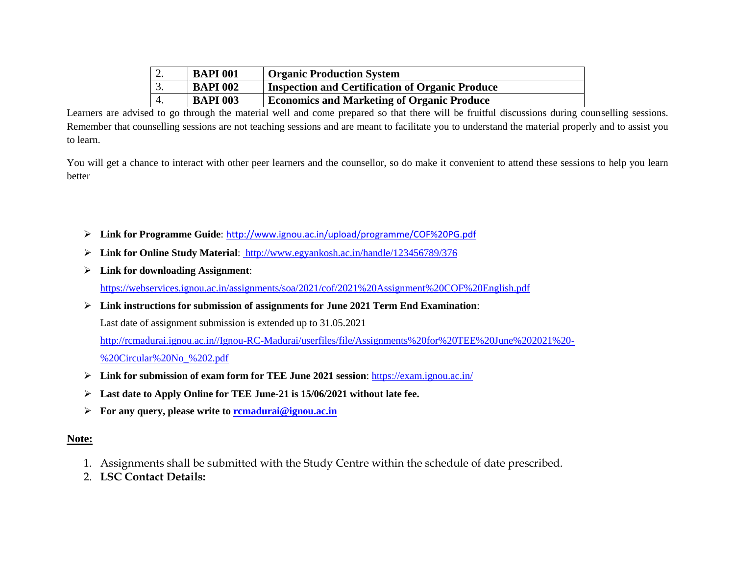| Z.               | <b>BAPI 001</b> | <b>Organic Production System</b>                       |
|------------------|-----------------|--------------------------------------------------------|
| $\overline{3}$ . | <b>BAPI 002</b> | <b>Inspection and Certification of Organic Produce</b> |
|                  | <b>BAPI 003</b> | <b>Economics and Marketing of Organic Produce</b>      |

Learners are advised to go through the material well and come prepared so that there will be fruitful discussions during counselling sessions. Remember that counselling sessions are not teaching sessions and are meant to facilitate you to understand the material properly and to assist you to learn.

You will get a chance to interact with other peer learners and the counsellor, so do make it convenient to attend these sessions to help you learn better

- **Link for Programme Guide**: <http://www.ignou.ac.in/upload/programme/COF%20PG.pdf>
- **Link for Online Study Material**: http://www.egyankosh.ac.in/handle/123456789/376
- **Link for downloading Assignment**:

<https://webservices.ignou.ac.in/assignments/soa/2021/cof/2021%20Assignment%20COF%20English.pdf>

**Link instructions for submission of assignments for June 2021 Term End Examination**:

Last date of assignment submission is extended up to 31.05.2021

[http://rcmadurai.ignou.ac.in//Ignou-RC-Madurai/userfiles/file/Assignments%20for%20TEE%20June%202021%20-](http://rcmadurai.ignou.ac.in/Ignou-RC-Madurai/userfiles/file/Assignments%20for%20TEE%20June%202021%20-%20Circular%20No_%202.pdf)

[%20Circular%20No\\_%202.pdf](http://rcmadurai.ignou.ac.in/Ignou-RC-Madurai/userfiles/file/Assignments%20for%20TEE%20June%202021%20-%20Circular%20No_%202.pdf)

- **Link for submission of exam form for TEE June 2021 session**:<https://exam.ignou.ac.in/>
- **Last date to Apply Online for TEE June-21 is 15/06/2021 without late fee.**
- **For any query, please write to [rcmadurai@ignou.ac.in](mailto:rcmadurai@ignou.ac.in)**

## **Note:**

- 1. Assignments shall be submitted with the Study Centre within the schedule of date prescribed.
- 2. **LSC Contact Details:**